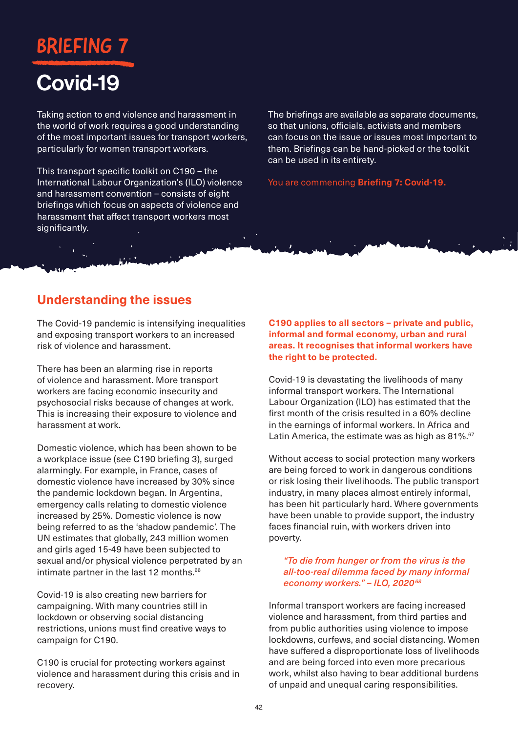# BRIEFING

# Covid-19

Taking action to end violence and harassment in the world of work requires a good understanding of the most important issues for transport workers, particularly for women transport workers.

This transport specific toolkit on C190 – the International Labour Organization's (ILO) violence and harassment convention – consists of eight briefings which focus on aspects of violence and harassment that affect transport workers most significantly.

The briefings are available as separate documents, so that unions, officials, activists and members can focus on the issue or issues most important to them. Briefings can be hand-picked or the toolkit can be used in its entirety.

You are commencing **Briefing 7: Covid-19.**

### **Understanding the issues**

The Covid-19 pandemic is intensifying inequalities and exposing transport workers to an increased risk of violence and harassment.

There has been an alarming rise in reports of violence and harassment. More transport workers are facing economic insecurity and psychosocial risks because of changes at work. This is increasing their exposure to violence and harassment at work.

Domestic violence, which has been shown to be a workplace issue (see C190 briefing 3), surged alarmingly. For example, in France, cases of domestic violence have increased by 30% since the pandemic lockdown began. In Argentina, emergency calls relating to domestic violence increased by 25%. Domestic violence is now being referred to as the 'shadow pandemic'. The UN estimates that globally, 243 million women and girls aged 15-49 have been subjected to sexual and/or physical violence perpetrated by an intimate partner in the last 12 months.<sup>66</sup>

Covid-19 is also creating new barriers for campaigning. With many countries still in lockdown or observing social distancing restrictions, unions must find creative ways to campaign for C190.

C190 is crucial for protecting workers against violence and harassment during this crisis and in recovery.

**C190 applies to all sectors – private and public, informal and formal economy, urban and rural areas. It recognises that informal workers have the right to be protected.**

Covid-19 is devastating the livelihoods of many informal transport workers. The International Labour Organization (ILO) has estimated that the first month of the crisis resulted in a 60% decline in the earnings of informal workers. In Africa and Latin America, the estimate was as high as 81%.<sup>67</sup>

Without access to social protection many workers are being forced to work in dangerous conditions or risk losing their livelihoods. The public transport industry, in many places almost entirely informal, has been hit particularly hard. Where governments have been unable to provide support, the industry faces financial ruin, with workers driven into poverty.

#### *"To die from hunger or from the virus is the all-too-real dilemma faced by many informal economy workers." – ILO, 202068*

Informal transport workers are facing increased violence and harassment, from third parties and from public authorities using violence to impose lockdowns, curfews, and social distancing. Women have suffered a disproportionate loss of livelihoods and are being forced into even more precarious work, whilst also having to bear additional burdens of unpaid and unequal caring responsibilities.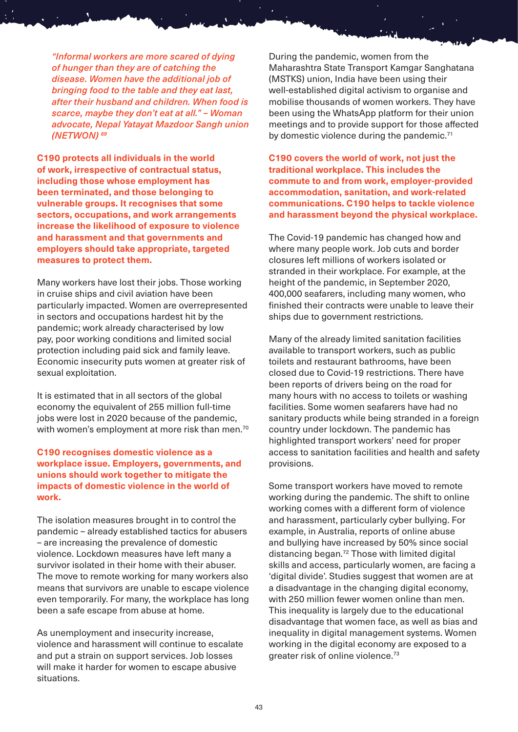*"Informal workers are more scared of dying of hunger than they are of catching the disease. Women have the additional job of bringing food to the table and they eat last, after their husband and children. When food is scarce, maybe they don't eat at all." – Woman advocate, Nepal Yatayat Mazdoor Sangh union (NETWON) 69*

**C190 protects all individuals in the world of work, irrespective of contractual status, including those whose employment has been terminated, and those belonging to vulnerable groups. It recognises that some sectors, occupations, and work arrangements increase the likelihood of exposure to violence and harassment and that governments and employers should take appropriate, targeted measures to protect them.**

Many workers have lost their jobs. Those working in cruise ships and civil aviation have been particularly impacted. Women are overrepresented in sectors and occupations hardest hit by the pandemic; work already characterised by low pay, poor working conditions and limited social protection including paid sick and family leave. Economic insecurity puts women at greater risk of sexual exploitation.

It is estimated that in all sectors of the global economy the equivalent of 255 million full-time jobs were lost in 2020 because of the pandemic, with women's employment at more risk than men.<sup>70</sup>

#### **C190 recognises domestic violence as a workplace issue. Employers, governments, and unions should work together to mitigate the impacts of domestic violence in the world of work.**

The isolation measures brought in to control the pandemic – already established tactics for abusers – are increasing the prevalence of domestic violence. Lockdown measures have left many a survivor isolated in their home with their abuser. The move to remote working for many workers also means that survivors are unable to escape violence even temporarily. For many, the workplace has long been a safe escape from abuse at home.

As unemployment and insecurity increase, violence and harassment will continue to escalate and put a strain on support services. Job losses will make it harder for women to escape abusive situations.

During the pandemic, women from the Maharashtra State Transport Kamgar Sanghatana (MSTKS) union, India have been using their well-established digital activism to organise and mobilise thousands of women workers. They have been using the WhatsApp platform for their union meetings and to provide support for those affected by domestic violence during the pandemic.<sup>71</sup>

**C190 covers the world of work, not just the traditional workplace. This includes the commute to and from work, employer-provided accommodation, sanitation, and work-related communications. C190 helps to tackle violence and harassment beyond the physical workplace.**

The Covid-19 pandemic has changed how and where many people work. Job cuts and border closures left millions of workers isolated or stranded in their workplace. For example, at the height of the pandemic, in September 2020, 400,000 seafarers, including many women, who finished their contracts were unable to leave their ships due to government restrictions.

Many of the already limited sanitation facilities available to transport workers, such as public toilets and restaurant bathrooms, have been closed due to Covid-19 restrictions. There have been reports of drivers being on the road for many hours with no access to toilets or washing facilities. Some women seafarers have had no sanitary products while being stranded in a foreign country under lockdown. The pandemic has highlighted transport workers' need for proper access to sanitation facilities and health and safety provisions.

Some transport workers have moved to remote working during the pandemic. The shift to online working comes with a different form of violence and harassment, particularly cyber bullying. For example, in Australia, reports of online abuse and bullying have increased by 50% since social distancing began.72 Those with limited digital skills and access, particularly women, are facing a 'digital divide'. Studies suggest that women are at a disadvantage in the changing digital economy, with 250 million fewer women online than men. This inequality is largely due to the educational disadvantage that women face, as well as bias and inequality in digital management systems. Women working in the digital economy are exposed to a greater risk of online violence.73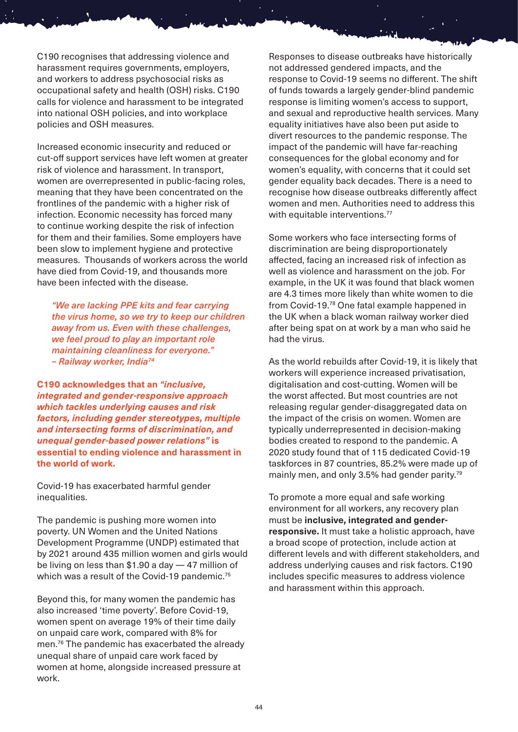C190 recognises that addressing violence and harassment requires governments, employers, and workers to address psychosocial risks as occupational safety and health (OSH) risks. C190 calls for violence and harassment to be integrated into national OSH policies, and into workplace policies and OSH measures.

Increased economic insecurity and reduced or cut-off support services have left women at greater risk of violence and harassment. In transport, women are overrepresented in public-facing roles, meaning that they have been concentrated on the frontlines of the pandemic with a higher risk of infection. Economic necessity has forced many to continue working despite the risk of infection for them and their families. Some employers have been slow to implement hygiene and protective measures. Thousands of workers across the world have died from Covid-19, and thousands more have been infected with the disease.

*"We are lacking PPE kits and fear carrying the virus home, so we try to keep our children away from us. Even with these challenges, we feel proud to play an important role maintaining cleanliness for everyone." – Railway worker, India74* 

**C190 acknowledges that an** *"inclusive, integrated and gender-responsive approach which tackles underlying causes and risk factors, including gender stereotypes, multiple and intersecting forms of discrimination, and unequal gender-based power relations"* **is essential to ending violence and harassment in the world of work.**

Covid-19 has exacerbated harmful gender inequalities.

The pandemic is pushing more women into poverty. UN Women and the United Nations Development Programme (UNDP) estimated that by 2021 around 435 million women and girls would be living on less than \$1.90 a day — 47 million of which was a result of the Covid-19 pandemic.<sup>75</sup>

Beyond this, for many women the pandemic has also increased 'time poverty'. Before Covid-19, women spent on average 19% of their time daily on unpaid care work, compared with 8% for men.76 The pandemic has exacerbated the already unequal share of unpaid care work faced by women at home, alongside increased pressure at work.

Responses to disease outbreaks have historically not addressed gendered impacts, and the response to Covid-19 seems no different. The shift of funds towards a largely gender-blind pandemic response is limiting women's access to support, and sexual and reproductive health services. Many equality initiatives have also been put aside to divert resources to the pandemic response. The impact of the pandemic will have far-reaching consequences for the global economy and for women's equality, with concerns that it could set gender equality back decades. There is a need to recognise how disease outbreaks differently affect women and men. Authorities need to address this with equitable interventions.<sup>77</sup>

Some workers who face intersecting forms of discrimination are being disproportionately affected, facing an increased risk of infection as well as violence and harassment on the job. For example, in the UK it was found that black women are 4.3 times more likely than white women to die from Covid-19.78 One fatal example happened in the UK when a black woman railway worker died after being spat on at work by a man who said he had the virus.

As the world rebuilds after Covid-19, it is likely that workers will experience increased privatisation, digitalisation and cost-cutting. Women will be the worst affected. But most countries are not releasing regular gender-disaggregated data on the impact of the crisis on women. Women are typically underrepresented in decision-making bodies created to respond to the pandemic. A 2020 study found that of 115 dedicated Covid-19 taskforces in 87 countries, 85.2% were made up of mainly men, and only 3.5% had gender parity.<sup>79</sup>

To promote a more equal and safe working environment for all workers, any recovery plan must be **inclusive, integrated and genderresponsive.** It must take a holistic approach, have a broad scope of protection, include action at different levels and with different stakeholders, and address underlying causes and risk factors. C190 includes specific measures to address violence and harassment within this approach.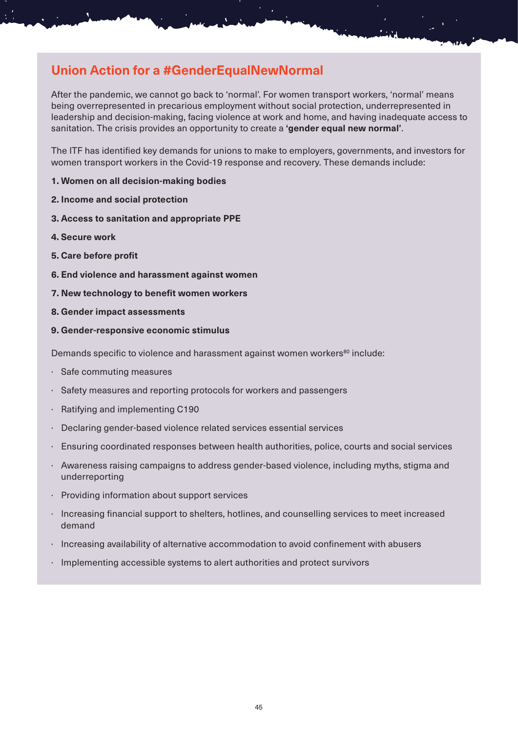# **Union Action for a #GenderEqualNewNormal**

After the pandemic, we cannot go back to 'normal'. For women transport workers, 'normal' means being overrepresented in precarious employment without social protection, underrepresented in leadership and decision-making, facing violence at work and home, and having inadequate access to sanitation. The crisis provides an opportunity to create a **'gender equal new normal'**.

The ITF has identified key demands for unions to make to employers, governments, and investors for women transport workers in the Covid-19 response and recovery. These demands include:

- **1. Women on all decision-making bodies**
- **2. Income and social protection**
- **3. Access to sanitation and appropriate PPE**
- **4. Secure work**
- **5. Care before profit**
- **6. End violence and harassment against women**
- **7. New technology to benefit women workers**
- **8. Gender impact assessments**
- **9. Gender-responsive economic stimulus**

Demands specific to violence and harassment against women workers<sup>80</sup> include:

- · Safe commuting measures
- Safety measures and reporting protocols for workers and passengers
- Ratifying and implementing C190
- · Declaring gender-based violence related services essential services
- · Ensuring coordinated responses between health authorities, police, courts and social services
- · Awareness raising campaigns to address gender-based violence, including myths, stigma and underreporting
- · Providing information about support services
- · Increasing financial support to shelters, hotlines, and counselling services to meet increased demand
- · Increasing availability of alternative accommodation to avoid confinement with abusers
- · Implementing accessible systems to alert authorities and protect survivors